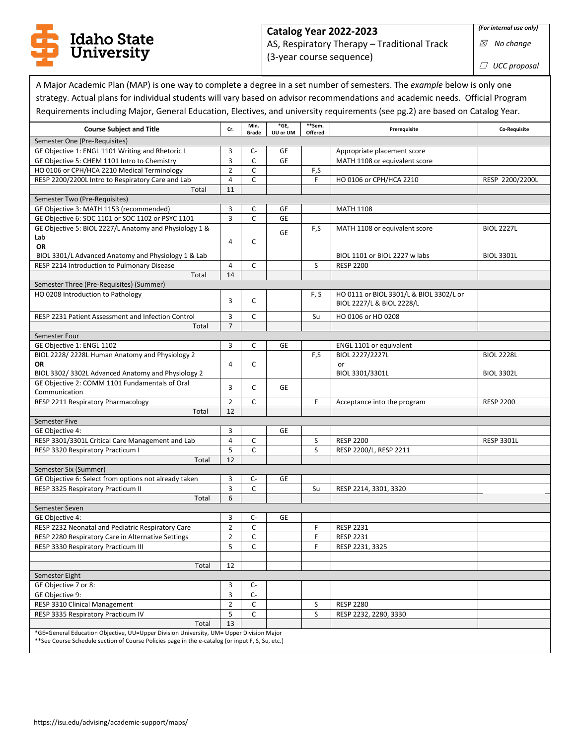

## **Catalog Year 2022-2023**  AS, Respiratory Therapy – Traditional Track (3-year course sequence)

☒ *No change*

☐ *UCC proposal*

A Major Academic Plan (MAP) is one way to complete a degree in a set number of semesters. The *example* below is only one strategy. Actual plans for individual students will vary based on advisor recommendations and academic needs. Official Program Requirements including Major, General Education, Electives, and university requirements (see pg.2) are based on Catalog Year.

| <b>Course Subject and Title</b>                                                                   | Cr.            | Min.<br>Grade | $*GE,$<br>UU or UM | **Sem.<br>Offered | Prerequisite                            | Co-Requisite      |
|---------------------------------------------------------------------------------------------------|----------------|---------------|--------------------|-------------------|-----------------------------------------|-------------------|
| Semester One (Pre-Requisites)                                                                     |                |               |                    |                   |                                         |                   |
| GE Objective 1: ENGL 1101 Writing and Rhetoric I                                                  | 3              | C-            | GE                 |                   | Appropriate placement score             |                   |
| GE Objective 5: CHEM 1101 Intro to Chemistry                                                      | $\overline{3}$ | C             | <b>GE</b>          |                   | MATH 1108 or equivalent score           |                   |
| HO 0106 or CPH/HCA 2210 Medical Terminology                                                       | $\overline{2}$ | $\mathsf{C}$  |                    | F,S               |                                         |                   |
| RESP 2200/2200L Intro to Respiratory Care and Lab                                                 | $\overline{4}$ | $\mathsf{C}$  |                    | F                 | HO 0106 or CPH/HCA 2210                 | RESP 2200/2200L   |
| Total                                                                                             | 11             |               |                    |                   |                                         |                   |
| Semester Two (Pre-Requisites)                                                                     |                |               |                    |                   |                                         |                   |
| GE Objective 3: MATH 1153 (recommended)                                                           | 3              | С             | GE                 |                   | <b>MATH 1108</b>                        |                   |
| GE Objective 6: SOC 1101 or SOC 1102 or PSYC 1101                                                 | 3              | C             | GE                 |                   |                                         |                   |
| GE Objective 5: BIOL 2227/L Anatomy and Physiology 1 &                                            |                |               | <b>GE</b>          | F,S               | MATH 1108 or equivalent score           | <b>BIOL 2227L</b> |
| Lab                                                                                               | $\overline{4}$ | C             |                    |                   |                                         |                   |
| <b>OR</b>                                                                                         |                |               |                    |                   |                                         |                   |
| BIOL 3301/L Advanced Anatomy and Physiology 1 & Lab                                               |                |               |                    |                   | BIOL 1101 or BIOL 2227 w labs           | <b>BIOL 3301L</b> |
| RESP 2214 Introduction to Pulmonary Disease                                                       | 4              | C             |                    | S                 | <b>RESP 2200</b>                        |                   |
| Total                                                                                             | 14             |               |                    |                   |                                         |                   |
| Semester Three (Pre-Requisites) (Summer)                                                          |                |               |                    |                   |                                         |                   |
| HO 0208 Introduction to Pathology                                                                 | 3              | C             |                    | F, S              | HO 0111 or BIOL 3301/L & BIOL 3302/L or |                   |
|                                                                                                   |                |               |                    |                   | BIOL 2227/L & BIOL 2228/L               |                   |
| RESP 2231 Patient Assessment and Infection Control                                                | 3              | C             |                    | Su                | HO 0106 or HO 0208                      |                   |
| Total                                                                                             | $\overline{7}$ |               |                    |                   |                                         |                   |
| Semester Four                                                                                     |                |               |                    |                   |                                         |                   |
| GE Objective 1: ENGL 1102                                                                         | 3              | C             | GE                 |                   | ENGL 1101 or equivalent                 |                   |
| BIOL 2228/2228L Human Anatomy and Physiology 2                                                    |                |               |                    | F,S               | BIOL 2227/2227L                         | <b>BIOL 2228L</b> |
| OR                                                                                                | $\overline{4}$ | C             |                    |                   | or                                      |                   |
| BIOL 3302/3302L Advanced Anatomy and Physiology 2                                                 |                |               |                    |                   | BIOL 3301/3301L                         | <b>BIOL 3302L</b> |
| GE Objective 2: COMM 1101 Fundamentals of Oral                                                    | 3              | C             | GE                 |                   |                                         |                   |
| Communication                                                                                     |                |               |                    |                   |                                         |                   |
| RESP 2211 Respiratory Pharmacology                                                                | $\overline{2}$ | C             |                    | F                 | Acceptance into the program             | <b>RESP 2200</b>  |
| Total                                                                                             | 12             |               |                    |                   |                                         |                   |
| Semester Five                                                                                     |                |               |                    |                   |                                         |                   |
| GE Objective 4:                                                                                   | 3              |               | <b>GE</b>          |                   |                                         |                   |
| RESP 3301/3301L Critical Care Management and Lab                                                  | $\overline{4}$ | C             |                    | S                 | <b>RESP 2200</b>                        | <b>RESP 3301L</b> |
| RESP 3320 Respiratory Practicum I                                                                 | 5              | $\mathsf{C}$  |                    | S                 | RESP 2200/L, RESP 2211                  |                   |
| Total                                                                                             | 12             |               |                    |                   |                                         |                   |
| Semester Six (Summer)                                                                             |                |               |                    |                   |                                         |                   |
| GE Objective 6: Select from options not already taken                                             | 3              | C-            | GE                 |                   |                                         |                   |
| RESP 3325 Respiratory Practicum II                                                                | 3<br>6         | C             |                    | Su                | RESP 2214, 3301, 3320                   |                   |
| Total                                                                                             |                |               |                    |                   |                                         |                   |
| Semester Seven<br>GE Objective 4:                                                                 | 3              | C-            | GE                 |                   |                                         |                   |
| RESP 2232 Neonatal and Pediatric Respiratory Care                                                 | $\overline{2}$ | C             |                    | F                 | <b>RESP 2231</b>                        |                   |
| RESP 2280 Respiratory Care in Alternative Settings                                                | $\overline{2}$ | C             |                    | F                 | <b>RESP 2231</b>                        |                   |
| RESP 3330 Respiratory Practicum III                                                               | 5              | C             |                    | F                 | RESP 2231, 3325                         |                   |
|                                                                                                   |                |               |                    |                   |                                         |                   |
| Total                                                                                             | 12             |               |                    |                   |                                         |                   |
| Semester Eight                                                                                    |                |               |                    |                   |                                         |                   |
| GE Objective 7 or 8:                                                                              | 3              | C-            |                    |                   |                                         |                   |
| GE Objective 9:                                                                                   | 3              | $C-$          |                    |                   |                                         |                   |
| RESP 3310 Clinical Management                                                                     | $\overline{2}$ | C             |                    | S                 | <b>RESP 2280</b>                        |                   |
| RESP 3335 Respiratory Practicum IV                                                                |                | C             |                    | S                 | RESP 2232, 2280, 3330                   |                   |
| Total                                                                                             | 5<br>13        |               |                    |                   |                                         |                   |
| *GE=General Education Objective, UU=Upper Division University, UM= Upper Division Major           |                |               |                    |                   |                                         |                   |
| ** See Course Schedule section of Course Policies page in the e-catalog (or input F, S, Su, etc.) |                |               |                    |                   |                                         |                   |